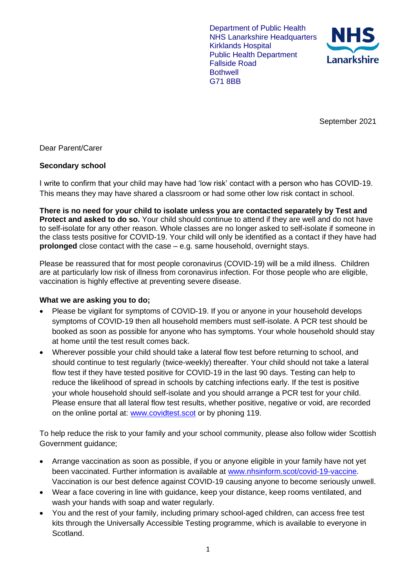Department of Public Health NHS Lanarkshire Headquarters Kirklands Hospital Public Health Department Fallside Road **Bothwell** G71 8BB



September 2021

Dear Parent/Carer

## **Secondary school**

I write to confirm that your child may have had 'low risk' contact with a person who has COVID-19. This means they may have shared a classroom or had some other low risk contact in school.

**There is no need for your child to isolate unless you are contacted separately by Test and Protect and asked to do so.** Your child should continue to attend if they are well and do not have to self-isolate for any other reason. Whole classes are no longer asked to self-isolate if someone in the class tests positive for COVID-19. Your child will only be identified as a contact if they have had **prolonged** close contact with the case – e.g. same household, overnight stays.

Please be reassured that for most people coronavirus (COVID-19) will be a mild illness. Children are at particularly low risk of illness from coronavirus infection. For those people who are eligible, vaccination is highly effective at preventing severe disease.

## **What we are asking you to do;**

- Please be vigilant for symptoms of COVID-19. If you or anyone in your household develops symptoms of COVID-19 then all household members must self-isolate. A PCR test should be booked as soon as possible for anyone who has symptoms. Your whole household should stay at home until the test result comes back.
- Wherever possible your child should take a lateral flow test before returning to school, and should continue to test regularly (twice-weekly) thereafter. Your child should not take a lateral flow test if they have tested positive for COVID-19 in the last 90 days. Testing can help to reduce the likelihood of spread in schools by catching infections early. If the test is positive your whole household should self-isolate and you should arrange a PCR test for your child. Please ensure that all lateral flow test results, whether positive, negative or void, are recorded on the online portal at: [www.covidtest.scot](http://www.covidtest.scot/) or by phoning 119.

To help reduce the risk to your family and your school community, please also follow wider Scottish Government guidance;

- Arrange vaccination as soon as possible, if you or anyone eligible in your family have not yet been vaccinated. Further information is available at [www.nhsinform.scot/covid-19-vaccine.](http://www.nhsinform.scot/covid-19-vaccine) Vaccination is our best defence against COVID-19 causing anyone to become seriously unwell.
- Wear a face covering in line with guidance, keep your distance, keep rooms ventilated, and wash your hands with soap and water regularly.
- You and the rest of your family, including primary school-aged children, can access free test kits through the Universally Accessible Testing programme, which is available to everyone in Scotland.